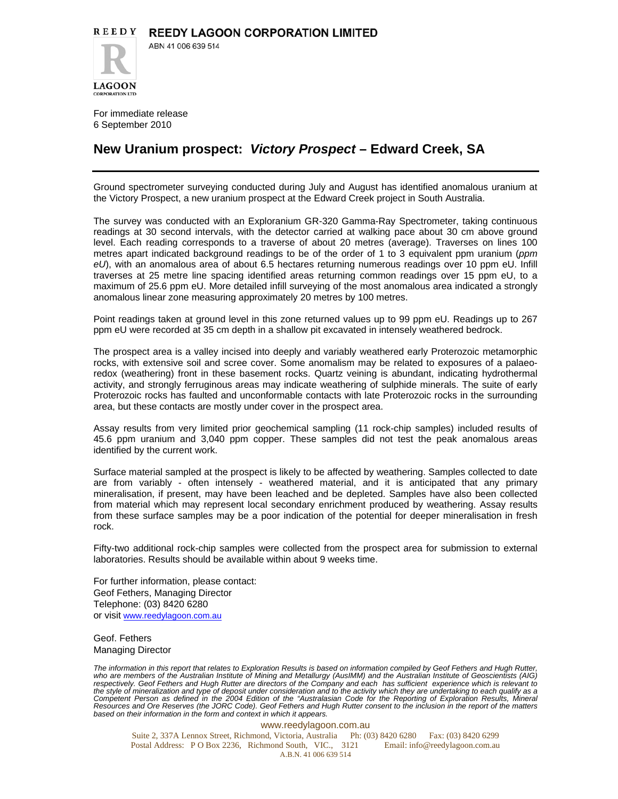

ABN 41 006 639 514

For immediate release 6 September 2010

## **New Uranium prospect:** *Victory Prospect* **– Edward Creek, SA**

Ground spectrometer surveying conducted during July and August has identified anomalous uranium at the Victory Prospect, a new uranium prospect at the Edward Creek project in South Australia.

The survey was conducted with an Exploranium GR-320 Gamma-Ray Spectrometer, taking continuous readings at 30 second intervals, with the detector carried at walking pace about 30 cm above ground level. Each reading corresponds to a traverse of about 20 metres (average). Traverses on lines 100 metres apart indicated background readings to be of the order of 1 to 3 equivalent ppm uranium (*ppm eU*), with an anomalous area of about 6.5 hectares returning numerous readings over 10 ppm eU. Infill traverses at 25 metre line spacing identified areas returning common readings over 15 ppm eU, to a maximum of 25.6 ppm eU. More detailed infill surveying of the most anomalous area indicated a strongly anomalous linear zone measuring approximately 20 metres by 100 metres.

Point readings taken at ground level in this zone returned values up to 99 ppm eU. Readings up to 267 ppm eU were recorded at 35 cm depth in a shallow pit excavated in intensely weathered bedrock.

The prospect area is a valley incised into deeply and variably weathered early Proterozoic metamorphic rocks, with extensive soil and scree cover. Some anomalism may be related to exposures of a palaeoredox (weathering) front in these basement rocks. Quartz veining is abundant, indicating hydrothermal activity, and strongly ferruginous areas may indicate weathering of sulphide minerals. The suite of early Proterozoic rocks has faulted and unconformable contacts with late Proterozoic rocks in the surrounding area, but these contacts are mostly under cover in the prospect area.

Assay results from very limited prior geochemical sampling (11 rock-chip samples) included results of 45.6 ppm uranium and 3,040 ppm copper. These samples did not test the peak anomalous areas identified by the current work.

Surface material sampled at the prospect is likely to be affected by weathering. Samples collected to date are from variably - often intensely - weathered material, and it is anticipated that any primary mineralisation, if present, may have been leached and be depleted. Samples have also been collected from material which may represent local secondary enrichment produced by weathering. Assay results from these surface samples may be a poor indication of the potential for deeper mineralisation in fresh rock.

Fifty-two additional rock-chip samples were collected from the prospect area for submission to external laboratories. Results should be available within about 9 weeks time.

For further information, please contact: Geof Fethers, Managing Director Telephone: (03) 8420 6280 or visit www.reedylagoon.com.au

Geof. Fethers Managing Director

*The information in this report that relates to Exploration Results is based on information compiled by Geof Fethers and Hugh Rutter, who are members of the Australian Institute of Mining and Metallurgy (AusIMM) and the Australian Institute of Geoscientists (AIG) respectively. Geof Fethers and Hugh Rutter are directors of the Company and each has sufficient experience which is relevant to the style of mineralization and type of deposit under consideration and to the activity which they are undertaking to each qualify as a*  Competent Person as defined in the 2004 Edition of the "Australasian Code for the Reporting of Exploration Results, Mineral<br>Resources and Ore Reserves (the JORC Code). Geof Fethers and Hugh Rutter consent to the inclusion *based on their information in the form and context in which it appears.* 

www.reedylagoon.com.au Suite 2, 337A Lennox Street, Richmond, Victoria, Australia Ph: (03) 8420 6280 Fax: (03) 8420 6299 Postal Address: P O Box 2236, Richmond South, VIC., 3121 Email: info@reedylagoon.com.au A.B.N. 41 006 639 514